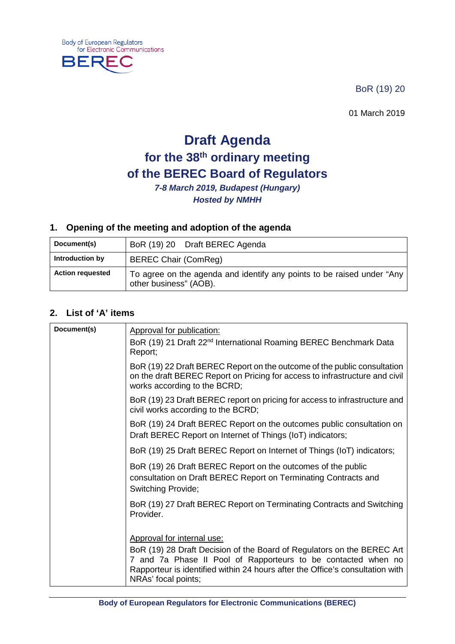**Body of European Regulators** for Electronic Communications

₹F

**BEF** 

BoR (19) 20

01 March 2019

# **Draft Agenda for the 38th ordinary meeting of the BEREC Board of Regulators**

*7-8 March 2019, Budapest (Hungary) Hosted by NMHH*

### **1. Opening of the meeting and adoption of the agenda**

| Document(s)             | BoR (19) 20 Draft BEREC Agenda                                                                   |
|-------------------------|--------------------------------------------------------------------------------------------------|
| Introduction by         | <b>BEREC Chair (ComReg)</b>                                                                      |
| <b>Action requested</b> | To agree on the agenda and identify any points to be raised under "Any<br>other business" (AOB). |

### **2. List of 'A' items**

| Document(s) | Approval for publication:<br>BoR (19) 21 Draft 22 <sup>nd</sup> International Roaming BEREC Benchmark Data<br>Report;                                                                                                                                                         |
|-------------|-------------------------------------------------------------------------------------------------------------------------------------------------------------------------------------------------------------------------------------------------------------------------------|
|             | BoR (19) 22 Draft BEREC Report on the outcome of the public consultation<br>on the draft BEREC Report on Pricing for access to infrastructure and civil<br>works according to the BCRD;                                                                                       |
|             | BoR (19) 23 Draft BEREC report on pricing for access to infrastructure and<br>civil works according to the BCRD;                                                                                                                                                              |
|             | BoR (19) 24 Draft BEREC Report on the outcomes public consultation on<br>Draft BEREC Report on Internet of Things (IoT) indicators;                                                                                                                                           |
|             | BoR (19) 25 Draft BEREC Report on Internet of Things (IoT) indicators;                                                                                                                                                                                                        |
|             | BoR (19) 26 Draft BEREC Report on the outcomes of the public<br>consultation on Draft BEREC Report on Terminating Contracts and<br><b>Switching Provide;</b>                                                                                                                  |
|             | BoR (19) 27 Draft BEREC Report on Terminating Contracts and Switching<br>Provider.                                                                                                                                                                                            |
|             | Approval for internal use:<br>BoR (19) 28 Draft Decision of the Board of Regulators on the BEREC Art<br>7 and 7a Phase II Pool of Rapporteurs to be contacted when no<br>Rapporteur is identified within 24 hours after the Office's consultation with<br>NRAs' focal points; |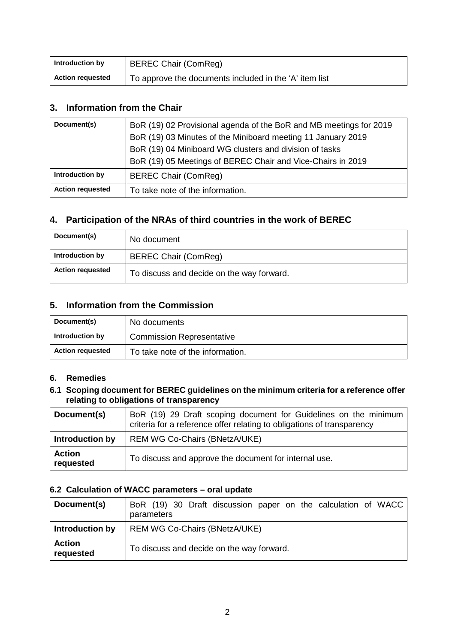| Introduction by         | <b>BEREC Chair (ComReg)</b>                            |
|-------------------------|--------------------------------------------------------|
| <b>Action requested</b> | To approve the documents included in the 'A' item list |

### **3. Information from the Chair**

| Document(s)             | BoR (19) 02 Provisional agenda of the BoR and MB meetings for 2019<br>BoR (19) 03 Minutes of the Miniboard meeting 11 January 2019<br>BoR (19) 04 Miniboard WG clusters and division of tasks<br>BoR (19) 05 Meetings of BEREC Chair and Vice-Chairs in 2019 |
|-------------------------|--------------------------------------------------------------------------------------------------------------------------------------------------------------------------------------------------------------------------------------------------------------|
| Introduction by         | <b>BEREC Chair (ComReg)</b>                                                                                                                                                                                                                                  |
| <b>Action requested</b> | To take note of the information.                                                                                                                                                                                                                             |

### **4. Participation of the NRAs of third countries in the work of BEREC**

| Document(s)             | No document                               |
|-------------------------|-------------------------------------------|
| Introduction by         | <b>BEREC Chair (ComReg)</b>               |
| <b>Action requested</b> | To discuss and decide on the way forward. |

### **5. Information from the Commission**

| Document(s)             | No documents                     |
|-------------------------|----------------------------------|
| Introduction by         | <b>Commission Representative</b> |
| <b>Action requested</b> | To take note of the information. |

### **6. Remedies**

#### **6.1 Scoping document for BEREC guidelines on the minimum criteria for a reference offer relating to obligations of transparency**

| Document(s)                | BoR (19) 29 Draft scoping document for Guidelines on the minimum<br>criteria for a reference offer relating to obligations of transparency |
|----------------------------|--------------------------------------------------------------------------------------------------------------------------------------------|
| Introduction by            | <b>REM WG Co-Chairs (BNetzA/UKE)</b>                                                                                                       |
| <b>Action</b><br>requested | To discuss and approve the document for internal use.                                                                                      |

#### **6.2 Calculation of WACC parameters – oral update**

| Document(s)                | BoR (19) 30 Draft discussion paper on the calculation of WACC<br>parameters |
|----------------------------|-----------------------------------------------------------------------------|
| Introduction by            | <b>REM WG Co-Chairs (BNetzA/UKE)</b>                                        |
| <b>Action</b><br>requested | To discuss and decide on the way forward.                                   |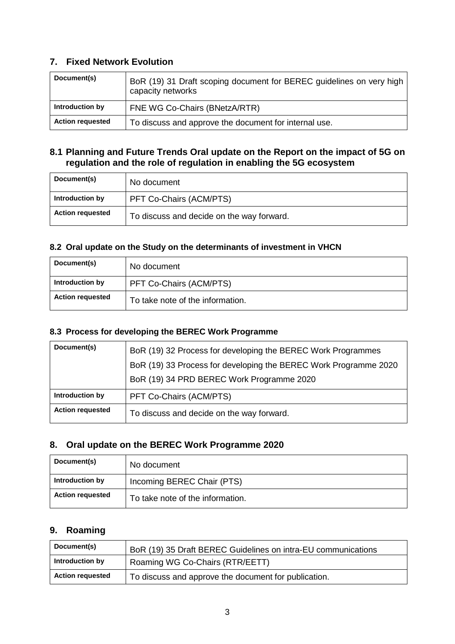### **7. Fixed Network Evolution**

| Document(s)             | BoR (19) 31 Draft scoping document for BEREC guidelines on very high<br>capacity networks |
|-------------------------|-------------------------------------------------------------------------------------------|
| Introduction by         | FNE WG Co-Chairs (BNetzA/RTR)                                                             |
| <b>Action requested</b> | To discuss and approve the document for internal use.                                     |

### **8.1 Planning and Future Trends Oral update on the Report on the impact of 5G on regulation and the role of regulation in enabling the 5G ecosystem**

| Document(s)             | No document                               |
|-------------------------|-------------------------------------------|
| Introduction by         | PFT Co-Chairs (ACM/PTS)                   |
| <b>Action requested</b> | To discuss and decide on the way forward. |

### **8.2 Oral update on the Study on the determinants of investment in VHCN**

| Document(s)             | No document                      |
|-------------------------|----------------------------------|
| Introduction by         | PFT Co-Chairs (ACM/PTS)          |
| <b>Action requested</b> | To take note of the information. |

### **8.3 Process for developing the BEREC Work Programme**

| Document(s)             | BoR (19) 32 Process for developing the BEREC Work Programmes     |
|-------------------------|------------------------------------------------------------------|
|                         | BoR (19) 33 Process for developing the BEREC Work Programme 2020 |
|                         | BoR (19) 34 PRD BEREC Work Programme 2020                        |
| Introduction by         | PFT Co-Chairs (ACM/PTS)                                          |
| <b>Action requested</b> | To discuss and decide on the way forward.                        |

### **8. Oral update on the BEREC Work Programme 2020**

| Document(s)             | No document                      |
|-------------------------|----------------------------------|
| Introduction by         | Incoming BEREC Chair (PTS)       |
| <b>Action requested</b> | To take note of the information. |

### **9. Roaming**

| Document(s)             | BoR (19) 35 Draft BEREC Guidelines on intra-EU communications |
|-------------------------|---------------------------------------------------------------|
| Introduction by         | Roaming WG Co-Chairs (RTR/EETT)                               |
| <b>Action requested</b> | To discuss and approve the document for publication.          |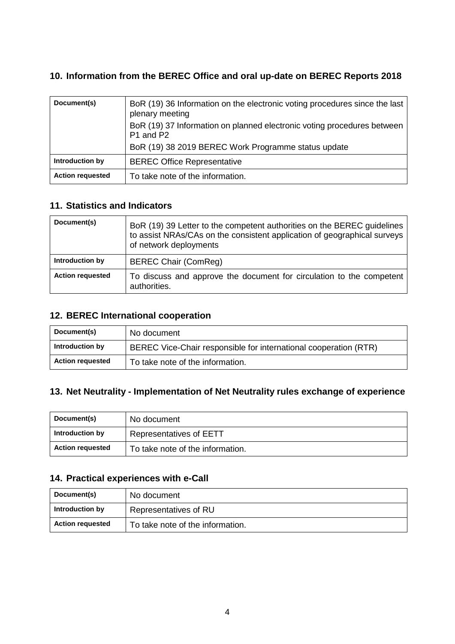### **10. Information from the BEREC Office and oral up-date on BEREC Reports 2018**

| Document(s)             | BoR (19) 36 Information on the electronic voting procedures since the last<br>plenary meeting<br>BoR (19) 37 Information on planned electronic voting procedures between<br>P <sub>1</sub> and P <sub>2</sub> |
|-------------------------|---------------------------------------------------------------------------------------------------------------------------------------------------------------------------------------------------------------|
|                         | BoR (19) 38 2019 BEREC Work Programme status update                                                                                                                                                           |
| Introduction by         | <b>BEREC Office Representative</b>                                                                                                                                                                            |
| <b>Action requested</b> | To take note of the information.                                                                                                                                                                              |

### **11. Statistics and Indicators**

| Document(s)             | BoR (19) 39 Letter to the competent authorities on the BEREC guidelines<br>to assist NRAs/CAs on the consistent application of geographical surveys<br>of network deployments |
|-------------------------|-------------------------------------------------------------------------------------------------------------------------------------------------------------------------------|
| Introduction by         | <b>BEREC Chair (ComReg)</b>                                                                                                                                                   |
| <b>Action requested</b> | To discuss and approve the document for circulation to the competent<br>authorities.                                                                                          |

### **12. BEREC International cooperation**

| Document(s)             | No document                                                      |
|-------------------------|------------------------------------------------------------------|
| Introduction by         | BEREC Vice-Chair responsible for international cooperation (RTR) |
| <b>Action requested</b> | To take note of the information.                                 |

### **13. Net Neutrality - Implementation of Net Neutrality rules exchange of experience**

| Document(s)             | No document                      |
|-------------------------|----------------------------------|
| Introduction by         | <b>Representatives of EETT</b>   |
| <b>Action requested</b> | To take note of the information. |

### **14. Practical experiences with e-Call**

| Document(s)             | No document                      |
|-------------------------|----------------------------------|
| Introduction by         | Representatives of RU            |
| <b>Action requested</b> | To take note of the information. |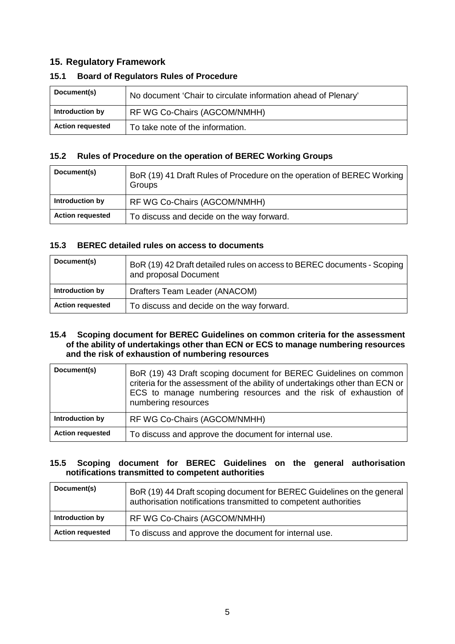### **15. Regulatory Framework**

| Document(s)             | No document 'Chair to circulate information ahead of Plenary' |
|-------------------------|---------------------------------------------------------------|
| Introduction by         | RF WG Co-Chairs (AGCOM/NMHH)                                  |
| <b>Action requested</b> | To take note of the information.                              |

#### **15.1 Board of Regulators Rules of Procedure**

#### **15.2 Rules of Procedure on the operation of BEREC Working Groups**

| Document(s)             | BoR (19) 41 Draft Rules of Procedure on the operation of BEREC Working<br>Groups |
|-------------------------|----------------------------------------------------------------------------------|
| Introduction by         | RF WG Co-Chairs (AGCOM/NMHH)                                                     |
| <b>Action requested</b> | To discuss and decide on the way forward.                                        |

#### **15.3 BEREC detailed rules on access to documents**

| Document(s)             | BoR (19) 42 Draft detailed rules on access to BEREC documents - Scoping<br>and proposal Document |
|-------------------------|--------------------------------------------------------------------------------------------------|
| Introduction by         | Drafters Team Leader (ANACOM)                                                                    |
| <b>Action requested</b> | To discuss and decide on the way forward.                                                        |

#### **15.4 Scoping document for BEREC Guidelines on common criteria for the assessment of the ability of undertakings other than ECN or ECS to manage numbering resources and the risk of exhaustion of numbering resources**

| Document(s)             | BoR (19) 43 Draft scoping document for BEREC Guidelines on common<br>criteria for the assessment of the ability of undertakings other than ECN or<br>ECS to manage numbering resources and the risk of exhaustion of<br>numbering resources |
|-------------------------|---------------------------------------------------------------------------------------------------------------------------------------------------------------------------------------------------------------------------------------------|
| Introduction by         | RF WG Co-Chairs (AGCOM/NMHH)                                                                                                                                                                                                                |
| <b>Action requested</b> | To discuss and approve the document for internal use.                                                                                                                                                                                       |

#### **15.5 Scoping document for BEREC Guidelines on the general authorisation notifications transmitted to competent authorities**

| Document(s)             | BoR (19) 44 Draft scoping document for BEREC Guidelines on the general<br>authorisation notifications transmitted to competent authorities |
|-------------------------|--------------------------------------------------------------------------------------------------------------------------------------------|
| Introduction by         | RF WG Co-Chairs (AGCOM/NMHH)                                                                                                               |
| <b>Action requested</b> | To discuss and approve the document for internal use.                                                                                      |